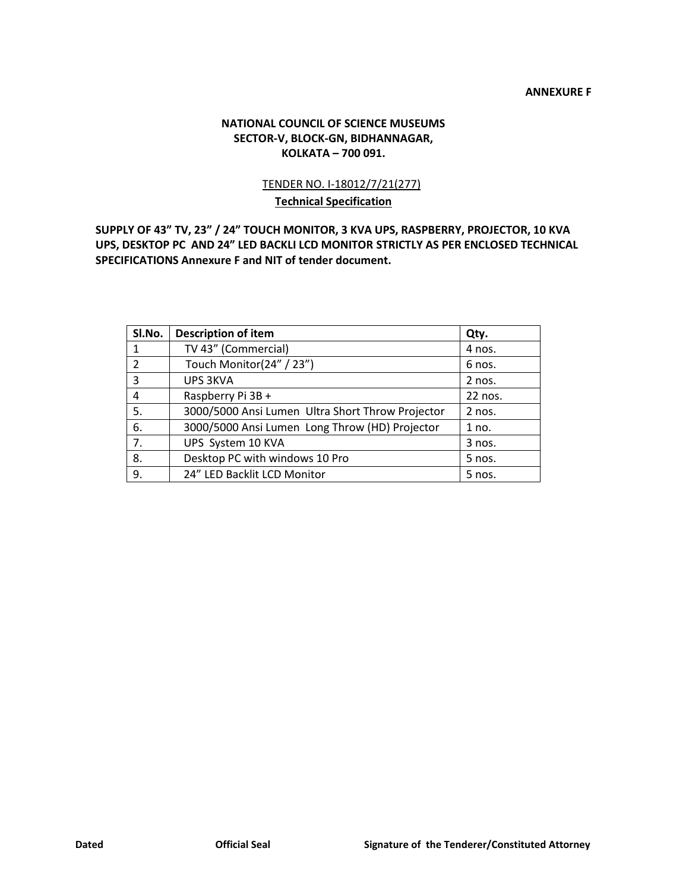#### **ANNEXURE F**

#### **NATIONAL COUNCIL OF SCIENCE MUSEUMS SECTOR-V, BLOCK-GN, BIDHANNAGAR, KOLKATA –700 091.**

### TENDER NO. I-18012/7/21(277) **Technical Specification**

**SUPPLY OF 43" TV, 23" / 24" TOUCH MONITOR, 3 KVA UPS, RASPBERRY, PROJECTOR, 10 KVA UPS, DESKTOP PC AND 24" LED BACKLI LCD MONITOR STRICTLY AS PER ENCLOSED TECHNICAL SPECIFICATIONS Annexure F and NIT of tender document.**

| Sl.No. | <b>Description of item</b>                       | Qty.     |
|--------|--------------------------------------------------|----------|
|        | TV 43" (Commercial)                              | 4 nos.   |
| 2      | Touch Monitor(24" / 23")                         | 6 nos.   |
| 3      | <b>UPS 3KVA</b>                                  | $2$ nos. |
| 4      | Raspberry Pi 3B +                                | 22 nos.  |
| 5.     | 3000/5000 Ansi Lumen Ultra Short Throw Projector | $2$ nos. |
| 6.     | 3000/5000 Ansi Lumen Long Throw (HD) Projector   | 1 no.    |
| 7.     | UPS System 10 KVA                                | $3$ nos. |
| 8.     | Desktop PC with windows 10 Pro                   | $5$ nos. |
| 9.     | 24" LED Backlit LCD Monitor                      | 5 nos.   |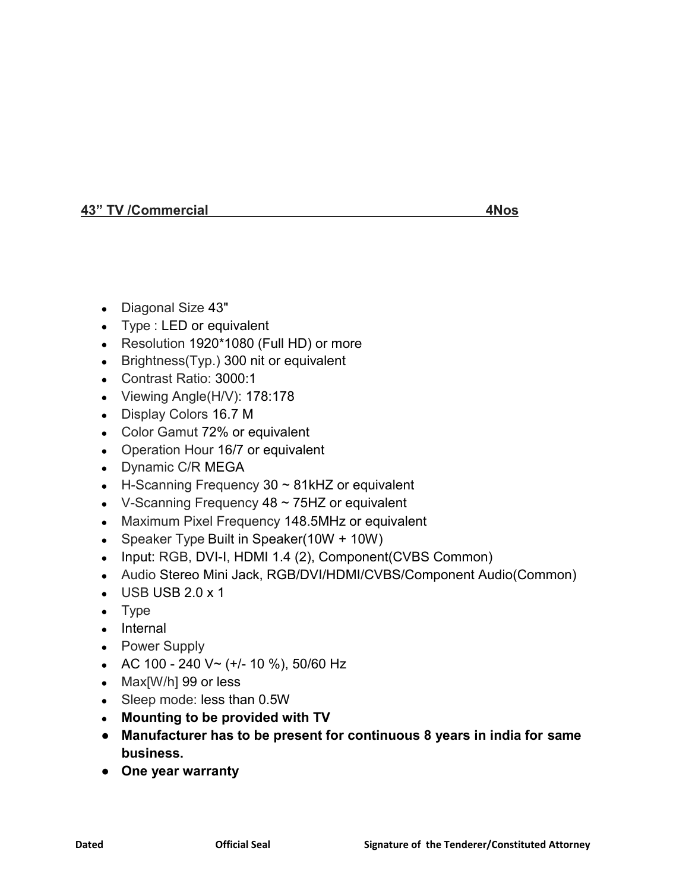### **43" TV /Commercial 4Nos**

- Diagonal Size 43"
- Type : LED or equivalent
- Resolution 1920\*1080 (Full HD) or more
- Brightness( $Typ.$ ) 300 nit or equivalent
- Contrast Ratio: 3000:1
- Viewing Angle(H/V): 178:178
- Display Colors 16.7 M
- Color Gamut 72% or equivalent
- Operation Hour 16/7 or equivalent
- Dynamic C/R MEGA
- $\bullet$  H-Scanning Frequency 30  $\sim$  81kHZ or equivalent
- V-Scanning Frequency  $48 \sim 75$ HZ or equivalent
- Maximum Pixel Frequency 148.5MHz or equivalent
- Speaker Type Built in Speaker( $10W + 10W$ )
- Input: RGB, DVI-I, HDMI 1.4 (2), Component(CVBS Common)
- Audio Stereo Mini Jack, RGB/DVI/HDMI/CVBS/Component Audio(Common)
- $\bullet$  USB USB 2.0 x 1
- Type
- Internal
- Power Supply
- AC 100 240 V~ (+/- 10 %), 50/60 Hz
- Max[W/h] 99 or less
- Sleep mode: less than 0.5W
- **● Mounting to be provided with TV**
- **● Manufacturer has to be present for continuous 8 years in india for same business.**
- **● One year warranty**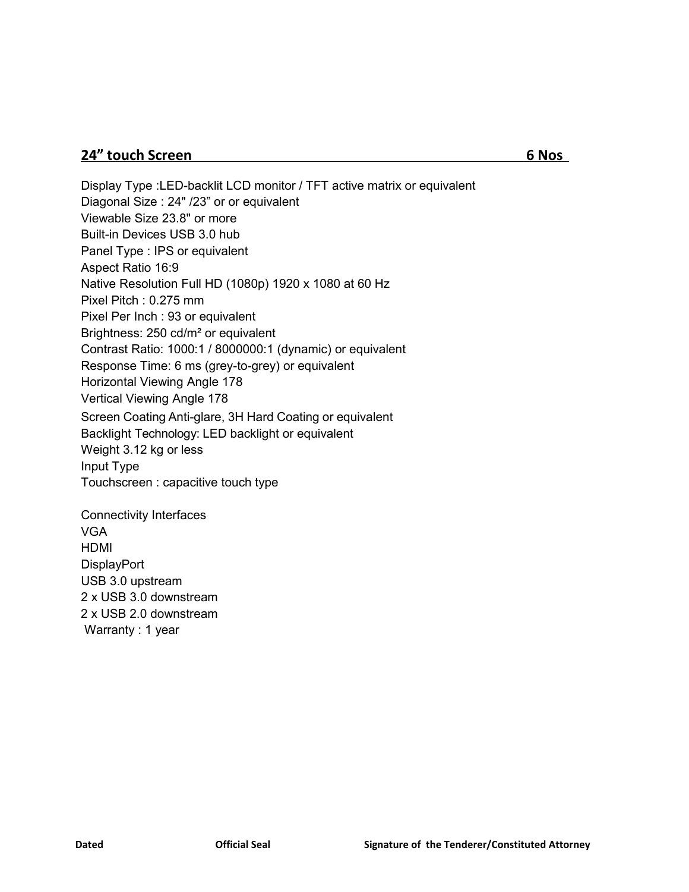# **24" touch Screen 6 Nos**

Display Type :LED-backlit LCD monitor / TFT active matrix or equivalent Diagonal Size : 24" /23" or or equivalent Viewable Size 23.8" or more Built-in Devices USB 3.0 hub Panel Type : IPS or equivalent Aspect Ratio 16:9 Native Resolution Full HD (1080p) 1920 x 1080 at 60 Hz Pixel Pitch : 0.275 mm Pixel Per Inch : 93 or equivalent Brightness: 250 cd/m² or equivalent Contrast Ratio: 1000:1 / 8000000:1 (dynamic) or equivalent Response Time: 6 ms (grey-to-grey) or equivalent Horizontal Viewing Angle 178 Vertical Viewing Angle 178 Screen Coating Anti-glare, 3H Hard Coating or equivalent Backlight Technology: LED backlight or equivalent Weight 3.12 kg or less Input Type Touchscreen : capacitive touch type Connectivity Interfaces VGA HDMI

**DisplayPort** USB 3.0 upstream 2 x USB 3.0 downstream 2 x USB 2.0 downstream Warranty : 1 year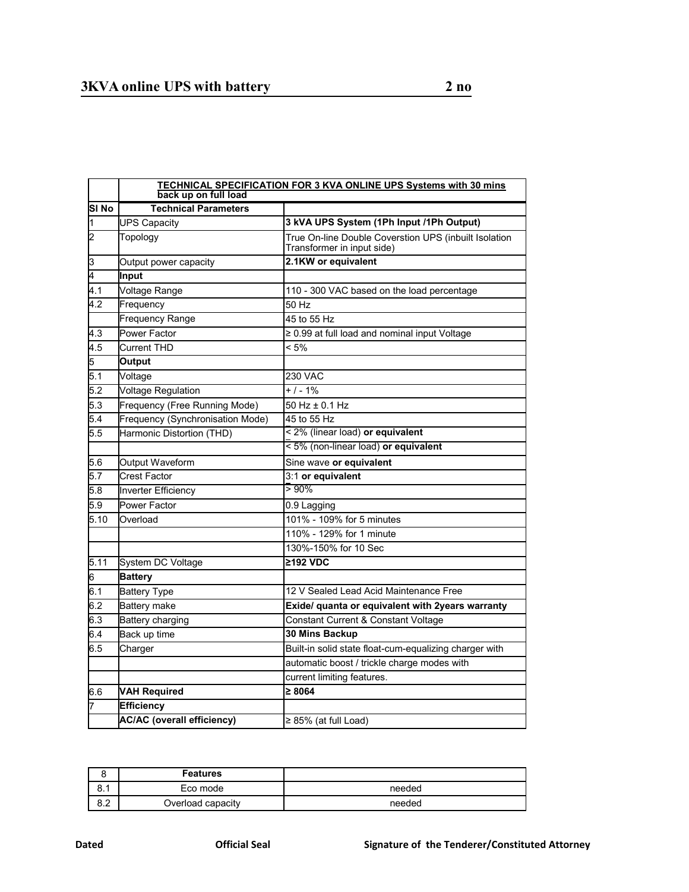|                         | <b>TECHNICAL SPECIFICATION FOR 3 KVA ONLINE UPS Systems with 30 mins</b><br>back up on full load |                                                                                     |  |  |  |  |
|-------------------------|--------------------------------------------------------------------------------------------------|-------------------------------------------------------------------------------------|--|--|--|--|
| SI <sub>No</sub>        | <b>Technical Parameters</b>                                                                      |                                                                                     |  |  |  |  |
| ł1                      | <b>UPS Capacity</b>                                                                              | 3 kVA UPS System (1Ph Input /1Ph Output)                                            |  |  |  |  |
| $\overline{2}$          | Topology                                                                                         | True On-line Double Coverstion UPS (inbuilt Isolation<br>Transformer in input side) |  |  |  |  |
| $\overline{\mathbf{3}}$ | Output power capacity                                                                            | 2.1KW or equivalent                                                                 |  |  |  |  |
| 4                       | <b>Input</b>                                                                                     |                                                                                     |  |  |  |  |
| 4.1                     | Voltage Range                                                                                    | 110 - 300 VAC based on the load percentage                                          |  |  |  |  |
| 4.2                     | Frequency                                                                                        | 50 Hz                                                                               |  |  |  |  |
|                         | <b>Frequency Range</b>                                                                           | 45 to 55 Hz                                                                         |  |  |  |  |
| 4.3                     | Power Factor                                                                                     | ≥ 0.99 at full load and nominal input Voltage                                       |  |  |  |  |
| 4.5                     | Current THD                                                                                      | $< 5\%$                                                                             |  |  |  |  |
| 5                       | <b>Output</b>                                                                                    |                                                                                     |  |  |  |  |
| 5.1                     | Voltage                                                                                          | 230 VAC                                                                             |  |  |  |  |
| 5.2                     | <b>Voltage Regulation</b>                                                                        | $+1 - 1%$                                                                           |  |  |  |  |
| 5.3                     | Frequency (Free Running Mode)                                                                    | 50 Hz ± 0.1 Hz                                                                      |  |  |  |  |
| 5.4                     | Frequency (Synchronisation Mode)                                                                 | 45 to 55 Hz                                                                         |  |  |  |  |
| 5.5                     | Harmonic Distortion (THD)                                                                        | < 2% (linear load) or equivalent                                                    |  |  |  |  |
|                         |                                                                                                  | $\frac{1}{5\%}$ (non-linear load) or equivalent                                     |  |  |  |  |
| 5.6                     | Output Waveform                                                                                  | Sine wave or equivalent                                                             |  |  |  |  |
| 5.7                     | <b>Crest Factor</b>                                                                              | 3:1 or equivalent                                                                   |  |  |  |  |
| 5.8                     | <b>Inverter Efficiency</b>                                                                       | $>90\%$                                                                             |  |  |  |  |
| 5.9                     | <b>Power Factor</b>                                                                              | 0.9 Lagging                                                                         |  |  |  |  |
| 5.10                    | Overload                                                                                         | 101% - 109% for 5 minutes                                                           |  |  |  |  |
|                         |                                                                                                  | 110% - 129% for 1 minute                                                            |  |  |  |  |
|                         |                                                                                                  | 130%-150% for 10 Sec                                                                |  |  |  |  |
| 5.11                    | System DC Voltage                                                                                | ≥192 VDC                                                                            |  |  |  |  |
| 6                       | <b>Battery</b>                                                                                   |                                                                                     |  |  |  |  |
| 6.1                     | <b>Battery Type</b>                                                                              | 12 V Sealed Lead Acid Maintenance Free                                              |  |  |  |  |
| 6.2                     | Battery make                                                                                     | Exide/ quanta or equivalent with 2years warranty                                    |  |  |  |  |
| 6.3                     | <b>Battery charging</b>                                                                          | Constant Current & Constant Voltage                                                 |  |  |  |  |
| 6.4                     | Back up time                                                                                     | 30 Mins Backup                                                                      |  |  |  |  |
| 6.5                     | Charger                                                                                          | Built-in solid state float-cum-equalizing charger with                              |  |  |  |  |
|                         |                                                                                                  | automatic boost / trickle charge modes with                                         |  |  |  |  |
|                         |                                                                                                  | current limiting features.                                                          |  |  |  |  |
| 6.6                     | <b>VAH Required</b>                                                                              | $\geq 8064$                                                                         |  |  |  |  |
| 7                       | <b>Efficiency</b>                                                                                |                                                                                     |  |  |  |  |
|                         | <b>AC/AC (overall efficiency)</b>                                                                | $\geq$ 85% (at full Load)                                                           |  |  |  |  |

| ∼                  | <b>Features</b>   |        |
|--------------------|-------------------|--------|
| <b>0</b> 4<br>O. I | Eco mode          | needed |
| $\circ$<br>o.z     | Overload capacity | needed |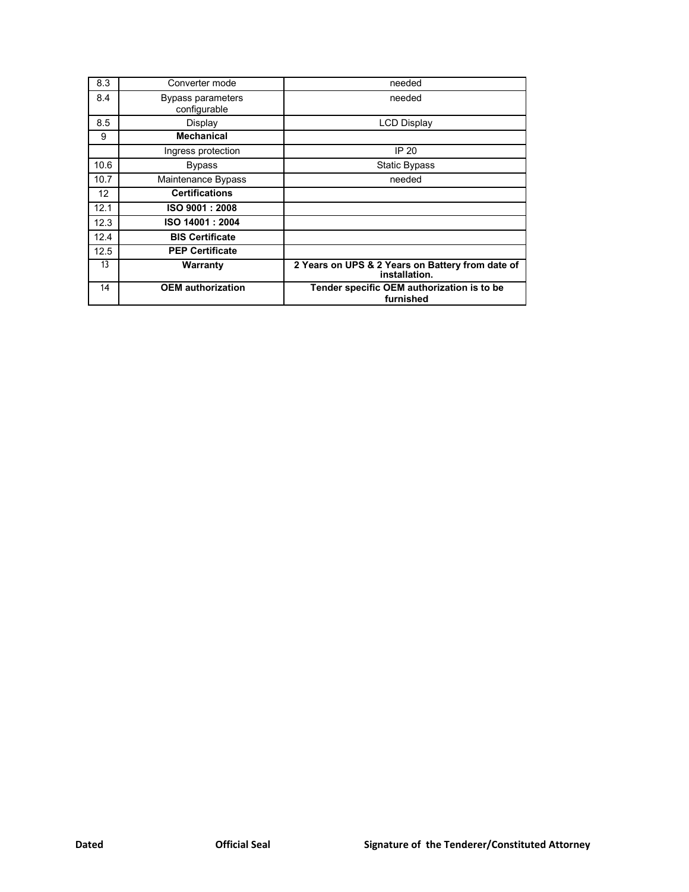| 8.3  | Converter mode                    | needed                                                            |  |
|------|-----------------------------------|-------------------------------------------------------------------|--|
| 8.4  | Bypass parameters<br>configurable | needed                                                            |  |
| 8.5  | Display                           | <b>LCD Display</b>                                                |  |
| 9    | <b>Mechanical</b>                 |                                                                   |  |
|      | Ingress protection                | IP 20                                                             |  |
| 10.6 | <b>Bypass</b>                     | <b>Static Bypass</b>                                              |  |
| 10.7 | Maintenance Bypass                | needed                                                            |  |
| 12   | <b>Certifications</b>             |                                                                   |  |
| 12.1 | ISO 9001 : 2008                   |                                                                   |  |
| 12.3 | ISO 14001: 2004                   |                                                                   |  |
| 12.4 | <b>BIS Certificate</b>            |                                                                   |  |
| 12.5 | <b>PEP Certificate</b>            |                                                                   |  |
| 13   | Warranty                          | 2 Years on UPS & 2 Years on Battery from date of<br>installation. |  |
| 14   | <b>OEM</b> authorization          | Tender specific OEM authorization is to be<br>furnished           |  |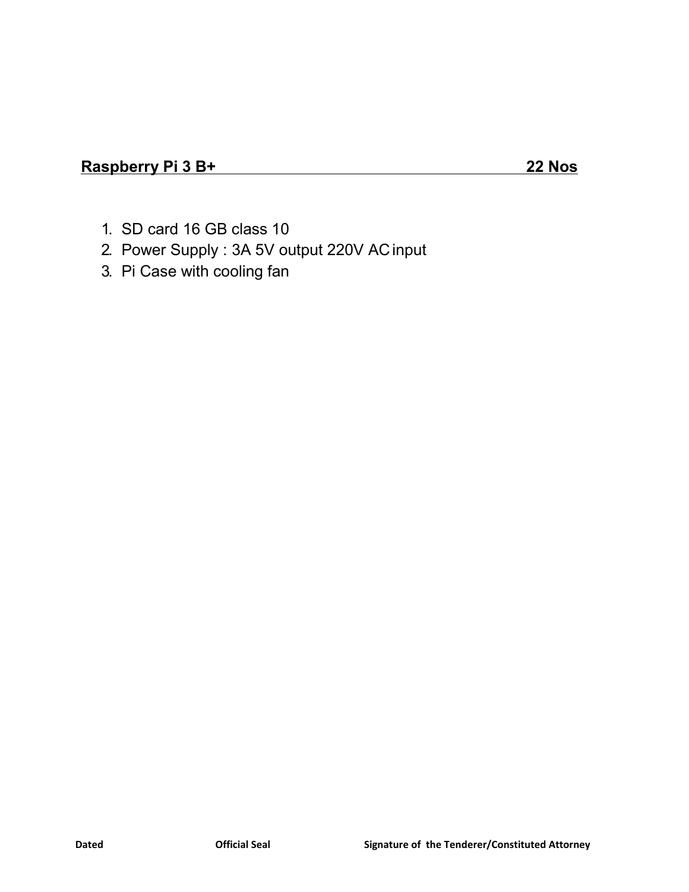- 1. SD card 16 GB class 10
- 2. Power Supply : 3A 5V output 220V ACinput
- 3. Pi Case with cooling fan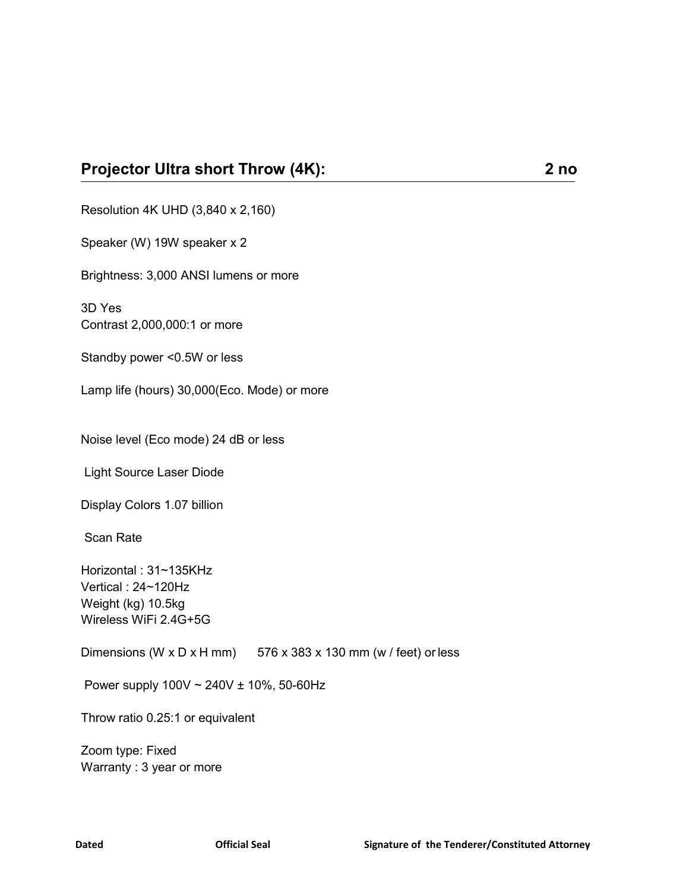Resolution 4K UHD (3,840 x 2,160)

Speaker (W) 19W speaker x 2

Brightness: 3,000 ANSI lumens or more

3D Yes Contrast 2,000,000:1 or more

Standby power <0.5W or less

Lamp life (hours) 30,000(Eco. Mode) or more

Noise level (Eco mode) 24 dB or less

Light Source Laser Diode

Display Colors 1.07 billion

Scan Rate

Horizontal : 31~135KHz Vertical : 24~120Hz Weight (kg) 10.5kg Wireless WiFi 2.4G+5G

Dimensions (W x D x H mm)  $576 \times 383 \times 130$  mm (w / feet) or less

Power supply 100V ~ 240V ± 10%, 50-60Hz

Throw ratio 0.25:1 or equivalent

Zoom type: Fixed Warranty : 3 year or more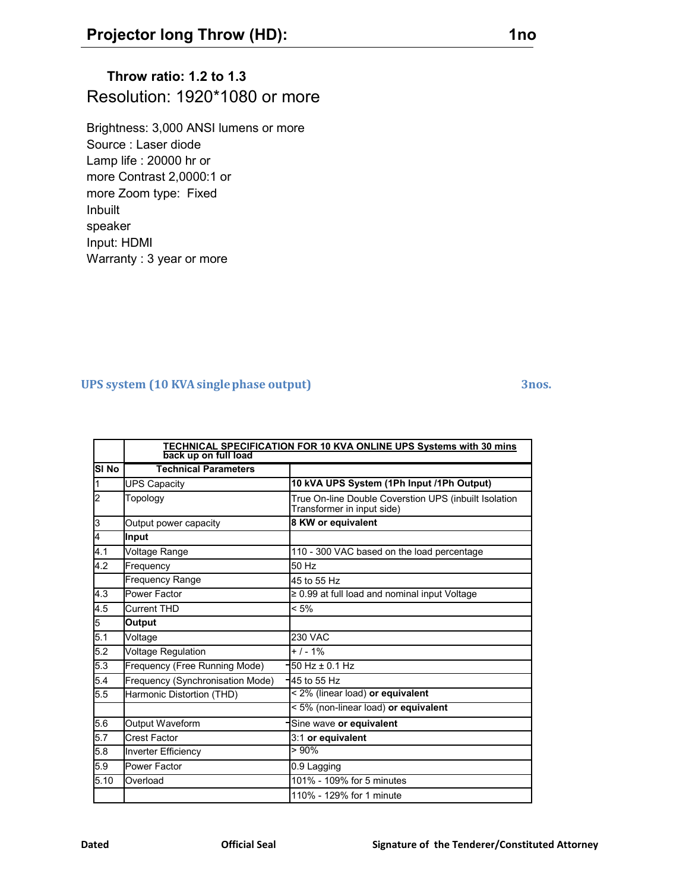# **Throw ratio: 1.2 to 1.3** Resolution: 1920\*1080 or more

Brightness: 3,000 ANSI lumens or more Source : Laser diode Lamp life : 20000 hr or more Contrast 2,0000:1 or more Zoom type: Fixed Inbuilt speaker Input: HDMI Warranty : 3 year or more

### **UPS system (10 KVAsinglephase output) 3nos.**

|                | TECHNICAL SPECIFICATION FOR 10 KVA ONLINE UPS Systems with 30 mins |                                                                                     |  |  |  |
|----------------|--------------------------------------------------------------------|-------------------------------------------------------------------------------------|--|--|--|
|                | back up on full load                                               |                                                                                     |  |  |  |
| <b>SI No</b>   | <b>Technical Parameters</b>                                        |                                                                                     |  |  |  |
| I1             | <b>UPS Capacity</b>                                                | 10 kVA UPS System (1Ph Input /1Ph Output)                                           |  |  |  |
| 2              | Topology                                                           | True On-line Double Coverstion UPS (inbuilt Isolation<br>Transformer in input side) |  |  |  |
| 3              | Output power capacity                                              | 8 KW or equivalent                                                                  |  |  |  |
| $\overline{4}$ | Input                                                              |                                                                                     |  |  |  |
| 4.1            | Voltage Range                                                      | 110 - 300 VAC based on the load percentage                                          |  |  |  |
| 4.2            | Frequency                                                          | 50 Hz                                                                               |  |  |  |
|                | Frequency Range                                                    | 45 to 55 Hz                                                                         |  |  |  |
| 4.3            | Power Factor                                                       | $\geq$ 0.99 at full load and nominal input Voltage                                  |  |  |  |
| 4.5            | Current THD                                                        | $< 5\%$                                                                             |  |  |  |
| 5              | <b>Output</b>                                                      |                                                                                     |  |  |  |
| 5.1            | Voltage                                                            | <b>230 VAC</b>                                                                      |  |  |  |
| 5.2            | <b>Voltage Regulation</b>                                          | $+ 1 - 1%$                                                                          |  |  |  |
| 5.3            | Frequency (Free Running Mode)                                      | $50$ Hz $\pm$ 0.1 Hz                                                                |  |  |  |
| 5.4            | Frequency (Synchronisation Mode)                                   | 45 to 55 Hz                                                                         |  |  |  |
| 5.5            | Harmonic Distortion (THD)                                          | < 2% (linear load) or equivalent                                                    |  |  |  |
|                |                                                                    | < 5% (non-linear load) or equivalent                                                |  |  |  |
| 5.6            | Output Waveform                                                    | Sine wave or equivalent                                                             |  |  |  |
| 5.7            | <b>Crest Factor</b>                                                | 3:1 or equivalent                                                                   |  |  |  |
| 5.8            | <b>Inverter Efficiency</b>                                         | $> 90\%$                                                                            |  |  |  |
| 5.9            | <b>Power Factor</b>                                                | 0.9 Lagging                                                                         |  |  |  |
| 5.10           | Overload                                                           | 101% - 109% for 5 minutes                                                           |  |  |  |
|                |                                                                    | 110% - 129% for 1 minute                                                            |  |  |  |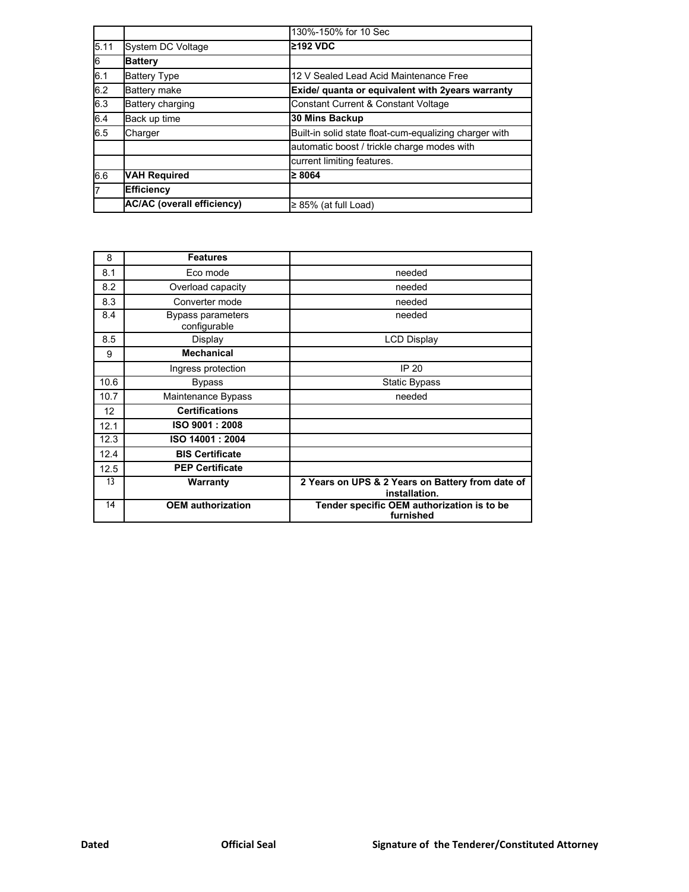|      |                                   | 130%-150% for 10 Sec                                   |
|------|-----------------------------------|--------------------------------------------------------|
| 5.11 | <b>System DC Voltage</b>          | ≥192 VDC                                               |
| l6   | <b>Battery</b>                    |                                                        |
| 6.1  | <b>Battery Type</b>               | 12 V Sealed Lead Acid Maintenance Free                 |
| 6.2  | <b>Battery make</b>               | Exide/ quanta or equivalent with 2years warranty       |
| 6.3  | Battery charging                  | <b>Constant Current &amp; Constant Voltage</b>         |
| 6.4  | Back up time                      | 30 Mins Backup                                         |
| 6.5  | Charger                           | Built-in solid state float-cum-equalizing charger with |
|      |                                   | automatic boost / trickle charge modes with            |
|      |                                   | current limiting features.                             |
| 6.6  | <b>VAH Required</b>               | $\geq 8064$                                            |
|      | <b>Efficiency</b>                 |                                                        |
|      | <b>AC/AC (overall efficiency)</b> | $\geq$ 85% (at full Load)                              |

| 8    | <b>Features</b>                   |                                                                   |
|------|-----------------------------------|-------------------------------------------------------------------|
| 8.1  | Eco mode                          | needed                                                            |
| 8.2  | Overload capacity                 | needed                                                            |
| 8.3  | Converter mode                    | needed                                                            |
| 8.4  | Bypass parameters<br>configurable | needed                                                            |
| 8.5  | Display                           | <b>LCD Display</b>                                                |
| 9    | <b>Mechanical</b>                 |                                                                   |
|      | Ingress protection                | <b>IP 20</b>                                                      |
| 10.6 | <b>Bypass</b>                     | <b>Static Bypass</b>                                              |
| 10.7 | Maintenance Bypass                | needed                                                            |
| 12   | <b>Certifications</b>             |                                                                   |
| 12.1 | ISO 9001: 2008                    |                                                                   |
| 12.3 | ISO 14001: 2004                   |                                                                   |
| 12.4 | <b>BIS Certificate</b>            |                                                                   |
| 12.5 | <b>PEP Certificate</b>            |                                                                   |
| 13   | Warranty                          | 2 Years on UPS & 2 Years on Battery from date of<br>installation. |
| 14   | <b>OEM</b> authorization          | Tender specific OEM authorization is to be<br>furnished           |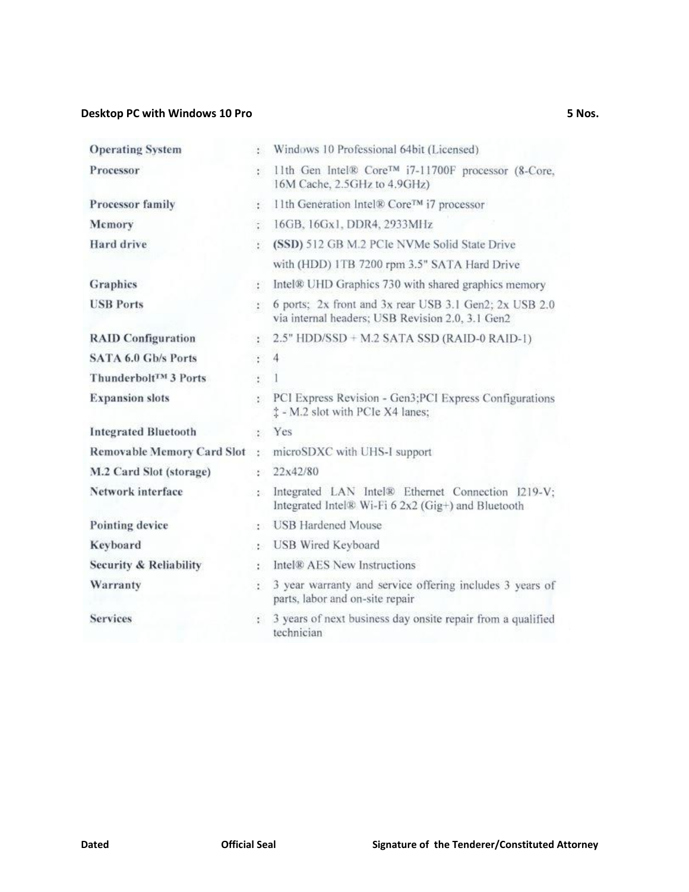### **Desktop PC with Windows 10 Pro 5 Nos.**

| <b>Operating System</b>             | X.                                     | Windows 10 Professional 64bit (Licensed)                                                                   |
|-------------------------------------|----------------------------------------|------------------------------------------------------------------------------------------------------------|
| Processor                           | e.                                     | 11th Gen Intel® Core™ i7-11700F processor (8-Core,<br>16M Cache, 2.5GHz to 4.9GHz)                         |
| Processor family                    | ¥.                                     | 11th Generation Intel® Core™ i7 processor                                                                  |
| Mcmory                              | $\mathcal{L}_{\mathcal{L}}$            | 16GB, 16Gx1, DDR4, 2933MHz                                                                                 |
| Hard drive                          | ¥.                                     | (SSD) 512 GB M.2 PCIe NVMe Solid State Drive                                                               |
|                                     |                                        | with (HDD) 1TB 7200 rpm 3.5" SATA Hard Drive                                                               |
| Graphics                            | $\mathcal{L}$                          | Intel® UHD Graphics 730 with shared graphics memory                                                        |
| <b>USB Ports</b>                    | $\mathcal{L}$                          | 6 ports; 2x front and 3x rear USB 3.1 Gen2; 2x USB 2.0<br>via internal headers; USB Revision 2.0, 3.1 Gen2 |
| <b>RAID Configuration</b>           | $\mathcal{L}$                          | $2.5"$ HDD/SSD + M.2 SATA SSD (RAID-0 RAID-1)                                                              |
| <b>SATA 6.0 Gb/s Ports</b>          | $\frac{1}{2}$ .                        | $\overline{4}$                                                                                             |
| Thunderbolt™ 3 Ports                | $\mathcal{L}_{\mathcal{L}}$            |                                                                                                            |
| <b>Expansion slots</b>              | X.                                     | PCI Express Revision - Gen3; PCI Express Configurations<br>$\ddagger$ - M.2 slot with PCIe X4 lanes;       |
| <b>Integrated Bluetooth</b>         | $\mathcal{L}_{\mathcal{L}}$            | Yes                                                                                                        |
| <b>Removable Memory Card Slot</b> : |                                        | microSDXC with UHS-I support                                                                               |
| M.2 Card Slot (storage)             | 사람이                                    | 22x42/80                                                                                                   |
| Network interface                   | 225                                    | Integrated LAN Intel® Ethernet Connection I219-V;<br>Integrated Intel® Wi-Fi 6 2x2 (Gig+) and Bluetooth    |
| Pointing device                     | $\mathcal{C}^{\bullet}_{\mathbf{a}}$ . | <b>USB</b> Hardened Mouse                                                                                  |
| Keyboard                            | (120)                                  | USB Wired Keyboard                                                                                         |
| Security & Reliability              | 30                                     | Intel® AES New Instructions                                                                                |
| Warranty                            | z.                                     | 3 year warranty and service offering includes 3 years of<br>parts, labor and on-site repair                |
| <b>Services</b>                     | ÷.                                     | 3 years of next business day onsite repair from a qualified<br>technician                                  |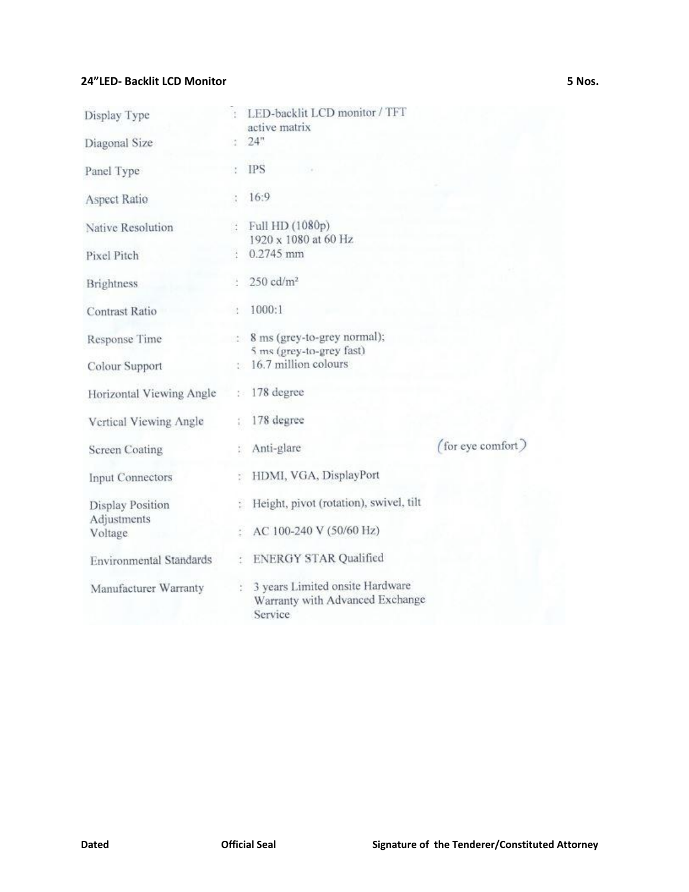### **24"LED- Backlit LCD Monitor 5 Nos.**

| Display Type                           |    | LED-backlit LCD monitor / TFT<br>active matrix                                |                   |
|----------------------------------------|----|-------------------------------------------------------------------------------|-------------------|
| Diagonal Size                          | W. | 24"                                                                           |                   |
| Panel Type                             |    | <b>IPS</b>                                                                    |                   |
| Aspect Ratio                           |    | 16:9                                                                          |                   |
| Native Resolution                      |    | Full HD (1080p)<br>1920 x 1080 at 60 Hz                                       |                   |
| Pixel Pitch                            |    | 0.2745 mm                                                                     |                   |
| <b>Brightness</b>                      |    | $250 \text{ cd/m}^2$                                                          |                   |
| <b>Contrast Ratio</b>                  |    | 1000:1                                                                        |                   |
| Response Time                          |    | : 8 ms (grey-to-grey normal);<br>5 ms (grey-to-grey fast)                     |                   |
| Colour Support                         |    | : 16.7 million colours                                                        |                   |
| Horizontal Viewing Angle               |    | $: 178$ degree                                                                |                   |
| Vertical Viewing Angle                 |    | 178 degree                                                                    |                   |
| <b>Screen Coating</b>                  |    | Anti-glare                                                                    | (for eye comfort) |
| Input Connectors                       |    | HDMI, VGA, DisplayPort                                                        |                   |
| <b>Display Position</b><br>Adjustments |    | Height, pivot (rotation), swivel, tilt                                        |                   |
| Voltage                                |    | AC 100-240 V (50/60 Hz)                                                       |                   |
| <b>Environmental Standards</b>         |    | <b>ENERGY STAR Qualified</b>                                                  |                   |
| Manufacturer Warranty                  |    | 3 years Limited onsite Hardware<br>Warranty with Advanced Exchange<br>Service |                   |